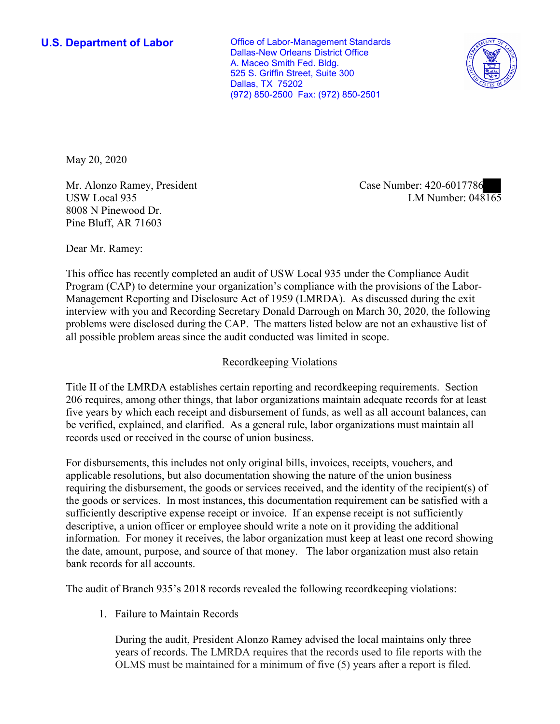**U.S. Department of Labor Conservative Conservative Conservative Conservative U.S.** Department of Labor Dallas-New Orleans District Office A. Maceo Smith Fed. Bldg. 525 S. Griffin Street, Suite 300 Dallas, TX 75202 (972) 850-2500 Fax: (972) 850-2501



May 20, 2020

Mr. Alonzo Ramey, President Case Number: 420-6017786 8008 N Pinewood Dr. Pine Bluff, AR 71603

Mr. Alonzo Ramey, President and Alexander Case Number: 420-0017780<br>USW Local 935 LM Number: 048165

Dear Mr. Ramey:

 This office has recently completed an audit of USW Local 935 under the Compliance Audit Program (CAP) to determine your organization's compliance with the provisions of the Labor-Management Reporting and Disclosure Act of 1959 (LMRDA). As discussed during the exit interview with you and Recording Secretary Donald Darrough on March 30, 2020, the following problems were disclosed during the CAP. The matters listed below are not an exhaustive list of all possible problem areas since the audit conducted was limited in scope.

## Recordkeeping Violations

 Title II of the LMRDA establishes certain reporting and recordkeeping requirements. Section 206 requires, among other things, that labor organizations maintain adequate records for at least five years by which each receipt and disbursement of funds, as well as all account balances, can be verified, explained, and clarified. As a general rule, labor organizations must maintain all records used or received in the course of union business.

For disbursements, this includes not only original bills, invoices, receipts, vouchers, and applicable resolutions, but also documentation showing the nature of the union business requiring the disbursement, the goods or services received, and the identity of the recipient(s) of the goods or services. In most instances, this documentation requirement can be satisfied with a sufficiently descriptive expense receipt or invoice. If an expense receipt is not sufficiently descriptive, a union officer or employee should write a note on it providing the additional information. For money it receives, the labor organization must keep at least one record showing the date, amount, purpose, and source of that money. The labor organization must also retain bank records for all accounts.

The audit of Branch 935's 2018 records revealed the following recordkeeping violations:

1. Failure to Maintain Records

 During the audit, President Alonzo Ramey advised the local maintains only three years of records. The LMRDA requires that the records used to file reports with the OLMS must be maintained for a minimum of five (5) years after a report is filed.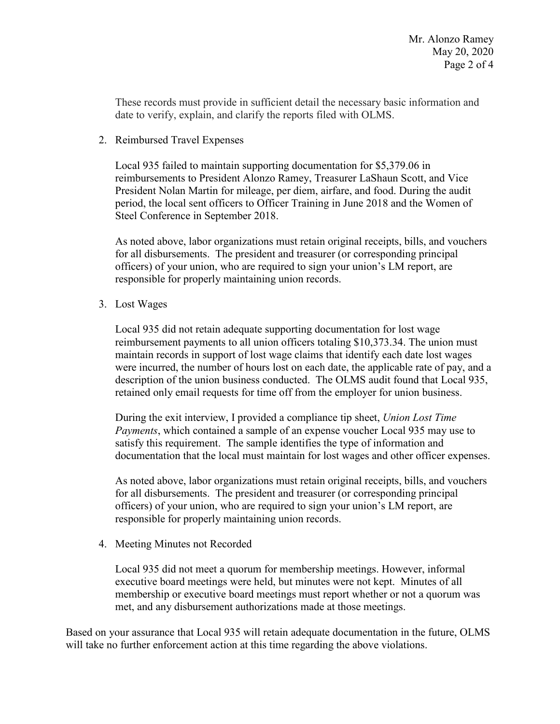These records must provide in sufficient detail the necessary basic information and date to verify, explain, and clarify the reports filed with OLMS.

2. Reimbursed Travel Expenses

Local 935 failed to maintain supporting documentation for \$[5,379.06](https://5,379.06) in reimbursements to President Alonzo Ramey, Treasurer LaShaun Scott, and Vice President Nolan Martin for mileage, per diem, airfare, and food. During the audit period, the local sent officers to Officer Training in June 2018 and the Women of Steel Conference in September 2018.

 officers) of your union, who are required to sign your union's LM report, are As noted above, labor organizations must retain original receipts, bills, and vouchers for all disbursements. The president and treasurer (or corresponding principal responsible for properly maintaining union records.

3. Lost Wages

 were incurred, the number of hours lost on each date, the applicable rate of pay, and a Local 935 did not retain adequate supporting documentation for lost wage reimbursement payments to all union officers totaling \$[10,373.34.](https://10,373.34) The union must maintain records in support of lost wage claims that identify each date lost wages description of the union business conducted. The OLMS audit found that Local 935, retained only email requests for time off from the employer for union business.

 satisfy this requirement. The sample identifies the type of information and documentation that the local must maintain for lost wages and other officer expenses. During the exit interview, I provided a compliance tip sheet, *Union Lost Time Payments*, which contained a sample of an expense voucher Local 935 may use to

 officers) of your union, who are required to sign your union's LM report, are As noted above, labor organizations must retain original receipts, bills, and vouchers for all disbursements. The president and treasurer (or corresponding principal responsible for properly maintaining union records.

4. Meeting Minutes not Recorded

Local 935 did not meet a quorum for membership meetings. However, informal executive board meetings were held, but minutes were not kept. Minutes of all membership or executive board meetings must report whether or not a quorum was met, and any disbursement authorizations made at those meetings.

 Based on your assurance that Local 935 will retain adequate documentation in the future, OLMS will take no further enforcement action at this time regarding the above violations.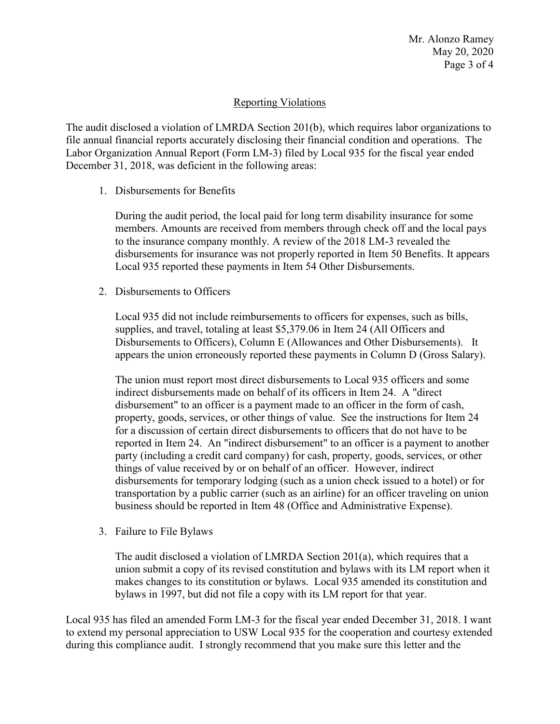Page 3 of 4 Mr. Alonzo Ramey May 20, 2020

## Reporting Violations

 Labor Organization Annual Report (Form LM-3) filed by Local 935 for the fiscal year ended The audit disclosed a violation of LMRDA Section 201(b), which requires labor organizations to file annual financial reports accurately disclosing their financial condition and operations. The December 31, 2018, was deficient in the following areas:

1. Disbursements for Benefits

 During the audit period, the local paid for long term disability insurance for some to the insurance company monthly. A review of the 2018 LM-3 revealed the members. Amounts are received from members through check off and the local pays disbursements for insurance was not properly reported in Item 50 Benefits. It appears Local 935 reported these payments in Item 54 Other Disbursements.

2. Disbursements to Officers

Local 935 did not include reimbursements to officers for expenses, such as bills, supplies, and travel, totaling at least [\\$5,379.06](https://5,379.06) in Item 24 (All Officers and Disbursements to Officers), Column E (Allowances and Other Disbursements). It appears the union erroneously reported these payments in Column D (Gross Salary).

 disbursement" to an officer is a payment made to an officer in the form of cash, for a discussion of certain direct disbursements to officers that do not have to be disbursements for temporary lodging (such as a union check issued to a hotel) or for transportation by a public carrier (such as an airline) for an officer traveling on union The union must report most direct disbursements to Local 935 officers and some indirect disbursements made on behalf of its officers in Item 24. A "direct property, goods, services, or other things of value. See the instructions for Item 24 reported in Item 24. An "indirect disbursement" to an officer is a payment to another party (including a credit card company) for cash, property, goods, services, or other things of value received by or on behalf of an officer. However, indirect business should be reported in Item 48 (Office and Administrative Expense).

3. Failure to File Bylaws

 The audit disclosed a violation of LMRDA Section 201(a), which requires that a union submit a copy of its revised constitution and bylaws with its LM report when it makes changes to its constitution or bylaws. Local 935 amended its constitution and bylaws in 1997, but did not file a copy with its LM report for that year.

Local 935 has filed an amended Form LM-3 for the fiscal year ended December 31, 2018. I want to extend my personal appreciation to USW Local 935 for the cooperation and courtesy extended during this compliance audit. I strongly recommend that you make sure this letter and the